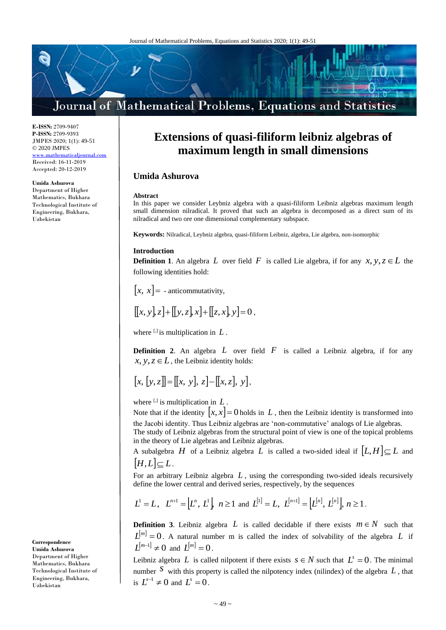# Journal of Mathematical Problems, Equations and Statistics

**E-ISSN:** 2709-9407 **P-ISSN:** 2709-9393 JMPES 2020; 1(1): 49-51 © 2020 JMPES <www.mathematicaljournal.com> Received: 16-11-2019 Accepted: 20-12-2019

**Umida Ashurova** Department of Higher Mathematics, Bukhara Technological Institute of Engineering, Bukhara, Uzbekistan

**Correspondence Umida Ashurova** Department of Higher Mathematics, Bukhara Technological Institute of Engineering, Bukhara, Uzbekistan

# **Extensions of quasi-filiform leibniz algebras of maximum length in small dimensions**

## **Umida Ashurova**

#### **Abstract**

In this paper we consider Leybniz algebra with a quasi-filiform Leibniz algebras maximum length small dimension nilradical. It proved that such an algebra is decomposed as a direct sum of its nilradical and two ore one dimensional complementary subspace.

**Keywords:** Nilradical, Leybniz algebra, quasi-filiform Leibniz, algebra, Lie algebra, non-isomorphic

### **Introduction**

**Definition 1**. An algebra L over field F is called Lie algebra, if for any  $x, y, z \in L$  the following identities hold:

 $[x, x] =$  - anticommutativity,

$$
[[x, y], z] + [[y, z], x] + [[z, x], y] = 0,
$$

where  $\left[ \cdot \right]$  is multiplication in  $L$ .

**Definition 2.** An algebra L over field F is called a Leibniz algebra, if for any  $x, y, z \in L$  , the Leibniz identity holds:

$$
[x,[y,z]] = [[x, y], z] - [[x, z], y],
$$

where  $^{[1]}$  is multiplication in  $L$ .

Note that if the identity  $|x, x| = 0$  holds in L, then the Leibniz identity is transformed into the Jacobi identity. Thus Leibniz algebras are 'non-commutative' analogs of Lie algebras.

The study of Leibniz algebras from the structural point of view is one of the topical problems in the theory of Lie algebras and Leibniz algebras.

A subalgebra H of a Leibniz algebra L is called a two-sided ideal if  $[L, H] \subseteq L$  and  $[H,L] \subset L$ .

For an arbitrary Leibniz algebra *L* , using the corresponding two-sided ideals recursively define the lower central and derived series, respectively, by the sequences

$$
L^1 = L
$$
,  $L^{n+1} = [L^n, L^1]$ ,  $n \ge 1$  and  $L^{[1]} = L$ ,  $L^{[n+1]} = [L^{[n]}, L^{[n]}]$ ,  $n \ge 1$ .

**Definition 3.** Leibniz algebra L is called decidable if there exists  $m \in N$  such that  $L^{[m]} = 0$ . A natural number m is called the index of solvability of the algebra L if  $L^{[m-1]} \neq 0$  and  $L^{[m]} = 0$ .

Leibniz algebra L is called nilpotent if there exists  $s \in N$  such that  $L^s = 0$ . The minimal number  $S$  with this property is called the nilpotency index (nilindex) of the algebra  $L$ , that is  $L^{s-1} \neq 0$  and  $L^s = 0$ .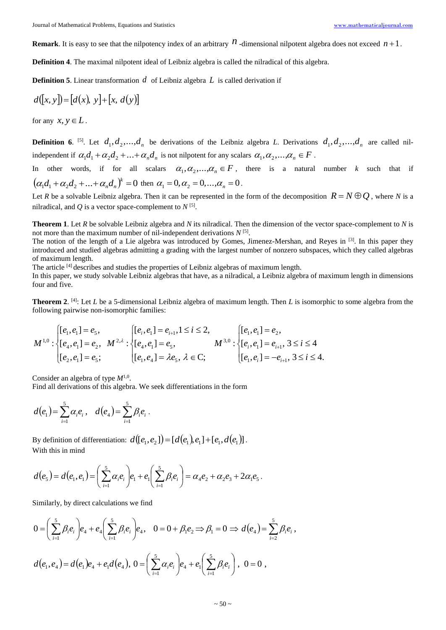**Remark**. It is easy to see that the nilpotency index of an arbitrary  $n$  -dimensional nilpotent algebra does not exceed  $n+1$ .

**Definition 4**. The maximal nilpotent ideal of Leibniz algebra is called the nilradical of this algebra.

**Definition 5**. Linear transformation *d* of Leibniz algebra *L* is called derivation if

$$
d([x, y]) = [d(x), y] + [x, d(y)]
$$

for any  $x, y \in L$ .

**Definition 6**. <sup>[5]</sup>. Let  $d_1, d_2, ..., d_n$  be derivations of the Leibniz algebra *L*. Derivations  $d_1, d_2, ..., d_n$  are called nilindependent if  $\alpha_1d_1 + \alpha_2d_2 + ... + \alpha_nd_n$  is not nilpotent for any scalars  $\alpha_1, \alpha_2, ..., \alpha_n \in F$ .

In other words, if for all scalars  $\alpha_1, \alpha_2, ..., \alpha_n \in F$ , there is a natural number *k* such that if  $(\alpha_1 d_1 + \alpha_2 d_2 + ... + \alpha_n d_n)^k = 0$  then  $\alpha_1 = 0, \alpha_2 = 0, ..., \alpha_n = 0$ .

Let *R* be a solvable Leibniz algebra. Then it can be represented in the form of the decomposition  $R = N \oplus Q$ , where *N* is a nilradical, and Q is a vector space-complement to  $N^{[5]}$ .

**Theorem 1**. Let *R* be solvable Leibniz algebra and *N* its nilradical. Then the dimension of the vector space-complement to *N* is not more than the maximum number of nil-independent derivations  $N^{[5]}$ .

The notion of the length of a Lie algebra was introduced by Gomes, Jimenez-Mershan, and Reyes in [3]. In this paper they introduced and studied algebras admitting a grading with the largest number of nonzero subspaces, which they called algebras of maximum length.

The article <sup>[4]</sup> describes and studies the properties of Leibniz algebras of maximum length.

In this paper, we study solvable Leibniz algebras that have, as a nilradical, a Leibniz algebra of maximum length in dimensions four and five.

**Theorem 2.** <sup>[4]</sup>: Let *L* be a 5-dimensional Leibniz algebra of maximum length. Then *L* is isomorphic to some algebra from the following pairwise non-isomorphic families:

$$
M^{1,0}: \begin{cases} [e_1,e_1]=e_5, \\ [e_4,e_1]=e_2, \\ [e_2,e_1]=e_5; \end{cases} \qquad M^{2,\lambda}: \begin{cases} [e_i,e_1]=e_{i+1}, 1 \leq i \leq 2, \\ [e_4,e_1]=e_5, \\ [e_1,e_1]=\lambda e_5, \lambda \in \mathbb{C}; \end{cases} \qquad M^{3,0}: \begin{cases} [e_1,e_1]=e_2, \\ [e_i,e_1]=e_{i+1}, 3 \leq i \leq 4, \\ [e_1,e_i]=-e_{i+1}, 3 \leq i \leq 4. \end{cases}
$$

Consider an algebra of type  $M^{1,0}$ .

Find all derivations of this algebra. We seek differentiations in the form

$$
d(e_1) = \sum_{i=1}^{5} \alpha_i e_i
$$
,  $d(e_4) = \sum_{i=1}^{5} \beta_i e_i$ .

By definition of differentiation:  $d([e_{_1},e_{_2}])\!=\![d(e_{_1}),e_{_1}]\!+\![e_{_1},d(e_{_1})]$  . With this in mind

$$
d(e_5) = d(e_1, e_1) = \left(\sum_{i=1}^5 \alpha_i e_i\right) e_1 + e_1 \left(\sum_{i=1}^5 \beta_i e_i\right) = \alpha_4 e_2 + \alpha_2 e_3 + 2\alpha_1 e_5.
$$

Similarly, by direct calculations we find

$$
0 = \left(\sum_{i=1}^{5} \beta_{i} e_{i}\right) e_{4} + e_{4} \left(\sum_{i=1}^{5} \beta_{i} e_{i}\right) e_{4}, \quad 0 = 0 + \beta_{1} e_{2} \Rightarrow \beta_{1} = 0 \Rightarrow d(e_{4}) = \sum_{i=2}^{5} \beta_{i} e_{i},
$$
  

$$
d(e_{1}, e_{4}) = d(e_{1}) e_{4} + e_{1} d(e_{4}), 0 = \left(\sum_{i=1}^{5} \alpha_{i} e_{i}\right) e_{4} + e_{1} \left(\sum_{i=1}^{5} \beta_{i} e_{i}\right), 0 = 0,
$$